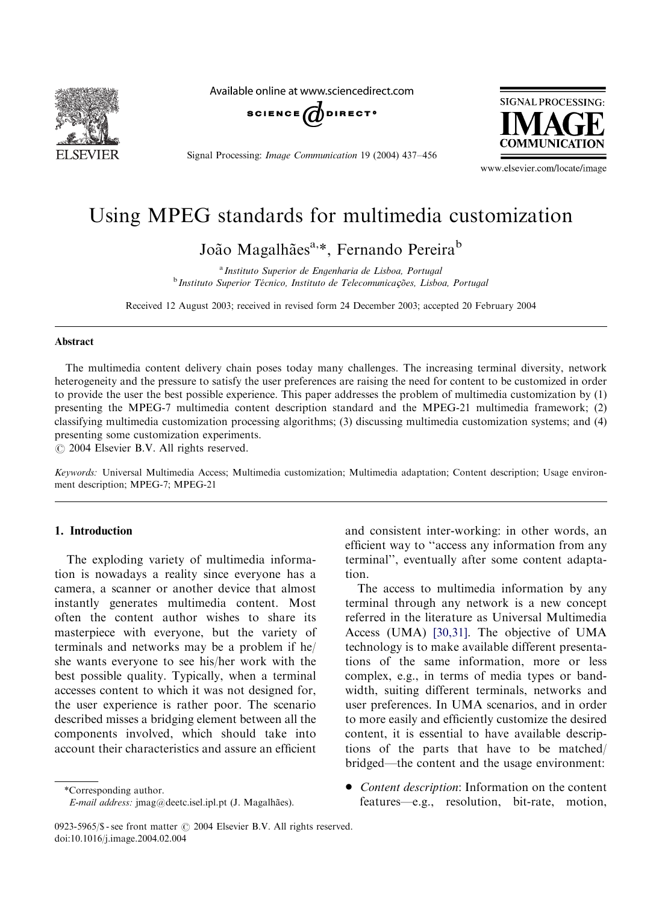

Available online at www.sciencedirect.com



Signal Processing: Image Communication 19 (2004) 437–456



www.elsevier.com/locate/image

# Using MPEG standards for multimedia customization

João Magalhães<sup>a,\*</sup>, Fernando Pereira<sup>b</sup>

<sup>a</sup> Instituto Superior de Engenharia de Lisboa, Portugal <sup>b</sup> Instituto Superior Técnico, Instituto de Telecomunicações, Lisboa, Portugal

Received 12 August 2003; received in revised form 24 December 2003; accepted 20 February 2004

# Abstract

The multimedia content delivery chain poses today many challenges. The increasing terminal diversity, network heterogeneity and the pressure to satisfy the user preferences are raising the need for content to be customized in order to provide the user the best possible experience. This paper addresses the problem of multimedia customization by  $(1)$ presenting the MPEG-7 multimedia content description standard and the MPEG-21 multimedia framework; (2) classifying multimedia customization processing algorithms; (3) discussing multimedia customization systems; and (4) presenting some customization experiments.

 $\circ$  2004 Elsevier B.V. All rights reserved.

Keywords: Universal Multimedia Access; Multimedia customization; Multimedia adaptation; Content description; Usage environment description; MPEG-7; MPEG-21

# 1. Introduction

The exploding variety of multimedia information is nowadays a reality since everyone has a camera, a scanner or another device that almost instantly generates multimedia content. Most often the content author wishes to share its masterpiece with everyone, but the variety of terminals and networks may be a problem if  $he/$ she wants everyone to see his/her work with the best possible quality. Typically, when a terminal accesses content to which it was not designed for, the user experience is rather poor. The scenario described misses a bridging element between all the components involved, which should take into account their characteristics and assure an efficient

\*Corresponding author.

E-mail address: jmag@deetc.isel.ipl.pt (J. Magalhães).

and consistent inter-working: in other words, an efficient way to ''access any information from any terminal'', eventually after some content adaptation.

The access to multimedia information by any terminal through any network is a new concept referred in the literature as Universal Multimedia Access (UMA)  $[30,31]$ . The objective of UMA technology is to make available different presentations of the same information, more or less complex, e.g., in terms of media types or bandwidth, suiting different terminals, networks and user preferences. In UMA scenarios, and in order to more easily and efficiently customize the desired content, it is essential to have available descriptions of the parts that have to be matched/ bridged—the content and the usage environment:

• Content description: Information on the content features—e.g., resolution, bit-rate, motion,

<sup>0923-5965/\$ -</sup> see front matter  $\odot$  2004 Elsevier B.V. All rights reserved. doi:10.1016/j.image.2004.02.004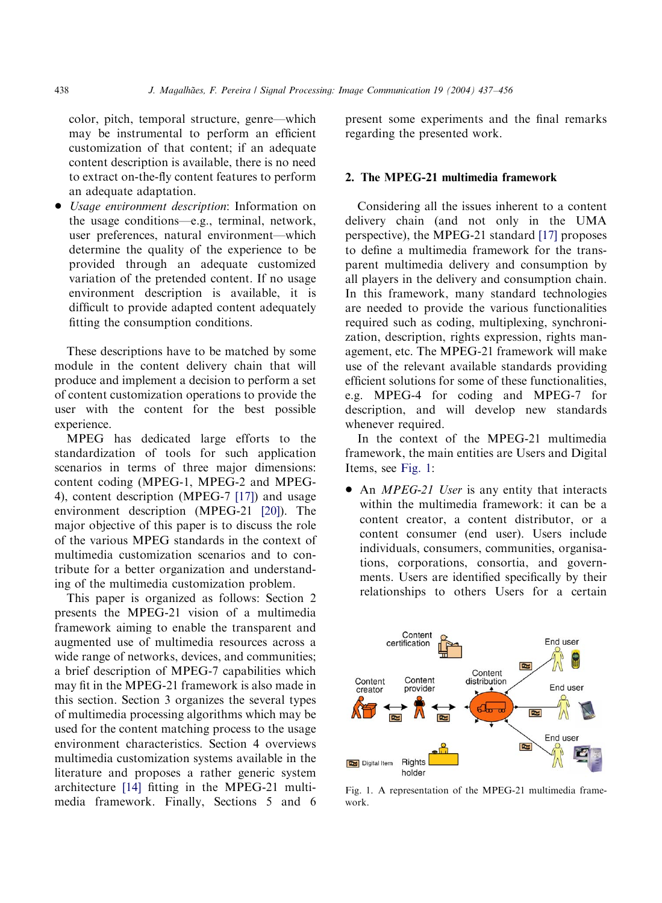color, pitch, temporal structure, genre—which may be instrumental to perform an efficient customization of that content; if an adequate content description is available, there is no need to extract on-the-fly content features to perform an adequate adaptation.

• Usage environment description: Information on the usage conditions—e.g., terminal, network, user preferences, natural environment—which determine the quality of the experience to be provided through an adequate customized variation of the pretended content. If no usage environment description is available, it is difficult to provide adapted content adequately fitting the consumption conditions.

These descriptions have to be matched by some module in the content delivery chain that will produce and implement a decision to perform a set of content customization operations to provide the user with the content for the best possible experience.

MPEG has dedicated large efforts to the standardization of tools for such application scenarios in terms of three major dimensions: content coding (MPEG-1, MPEG-2 and MPEG-4), content description (MPEG-7 [\[17\]\)](#page-18-0) and usage environment description (MPEG-21 [\[20\]](#page-18-0)). The major objective of this paper is to discuss the role of the various MPEG standards in the context of multimedia customization scenarios and to contribute for a better organization and understanding of the multimedia customization problem.

This paper is organized as follows: Section 2 presents the MPEG-21 vision of a multimedia framework aiming to enable the transparent and augmented use of multimedia resources across a wide range of networks, devices, and communities; a brief description of MPEG-7 capabilities which may fit in the MPEG-21 framework is also made in this section. Section 3 organizes the several types of multimedia processing algorithms which may be used for the content matching process to the usage environment characteristics. Section 4 overviews multimedia customization systems available in the literature and proposes a rather generic system architecture [\[14\]](#page-18-0) fitting in the MPEG-21 multimedia framework. Finally, Sections 5 and 6

present some experiments and the final remarks regarding the presented work.

#### 2. The MPEG-21 multimedia framework

Considering all the issues inherent to a content delivery chain (and not only in the UMA perspective), the MPEG-21 standard [\[17\]](#page-18-0) proposes to define a multimedia framework for the transparent multimedia delivery and consumption by all players in the delivery and consumption chain. In this framework, many standard technologies are needed to provide the various functionalities required such as coding, multiplexing, synchronization, description, rights expression, rights management, etc. The MPEG-21 framework will make use of the relevant available standards providing efficient solutions for some of these functionalities, e.g. MPEG-4 for coding and MPEG-7 for description, and will develop new standards whenever required.

In the context of the MPEG-21 multimedia framework, the main entities are Users and Digital Items, see Fig. 1:

• An *MPEG-21 User* is any entity that interacts within the multimedia framework: it can be a content creator, a content distributor, or a content consumer (end user). Users include individuals, consumers, communities, organisations, corporations, consortia, and governments. Users are identified specifically by their relationships to others Users for a certain



Fig. 1. A representation of the MPEG-21 multimedia framework.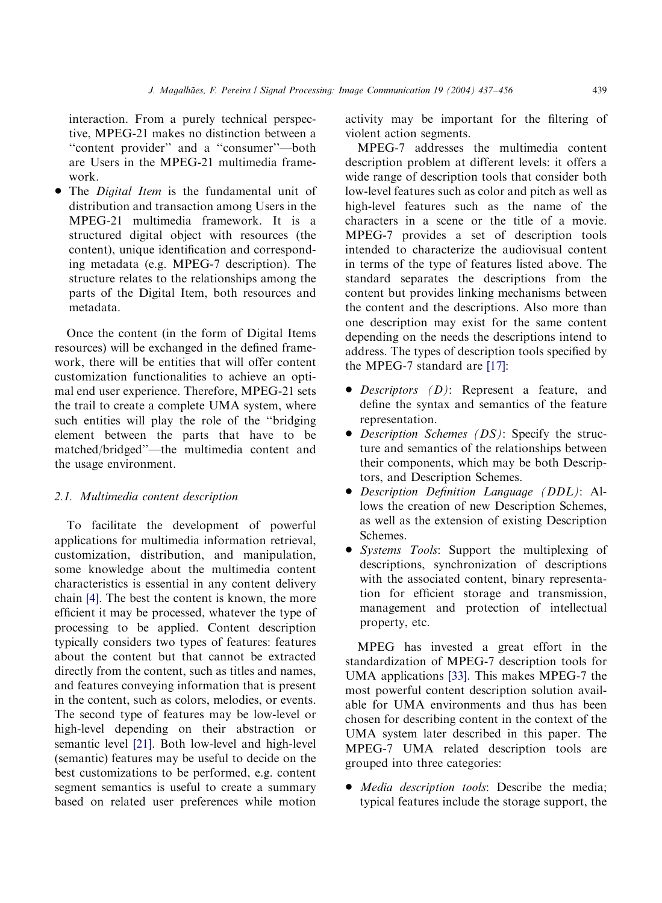interaction. From a purely technical perspective, MPEG-21 makes no distinction between a ''content provider'' and a ''consumer''—both are Users in the MPEG-21 multimedia framework.

• The *Digital Item* is the fundamental unit of distribution and transaction among Users in the MPEG-21 multimedia framework. It is a structured digital object with resources (the content), unique identification and corresponding metadata (e.g. MPEG-7 description). The structure relates to the relationships among the parts of the Digital Item, both resources and metadata.

Once the content (in the form of Digital Items resources) will be exchanged in the defined framework, there will be entities that will offer content customization functionalities to achieve an optimal end user experience. Therefore, MPEG-21 sets the trail to create a complete UMA system, where such entities will play the role of the "bridging element between the parts that have to be matched/bridged''—the multimedia content and the usage environment.

#### 2.1. Multimedia content description

To facilitate the development of powerful applications for multimedia information retrieval, customization, distribution, and manipulation, some knowledge about the multimedia content characteristics is essential in any content delivery chain [\[4\]](#page-18-0). The best the content is known, the more efficient it may be processed, whatever the type of processing to be applied. Content description typically considers two types of features: features about the content but that cannot be extracted directly from the content, such as titles and names, and features conveying information that is present in the content, such as colors, melodies, or events. The second type of features may be low-level or high-level depending on their abstraction or semantic level [\[21\].](#page-18-0) Both low-level and high-level (semantic) features may be useful to decide on the best customizations to be performed, e.g. content segment semantics is useful to create a summary based on related user preferences while motion

activity may be important for the filtering of violent action segments.

MPEG-7 addresses the multimedia content description problem at different levels: it offers a wide range of description tools that consider both low-level features such as color and pitch as well as high-level features such as the name of the characters in a scene or the title of a movie.  $MPEG-7$  provides a set of description tools intended to characterize the audiovisual content in terms of the type of features listed above. The standard separates the descriptions from the content but provides linking mechanisms between the content and the descriptions. Also more than one description may exist for the same content depending on the needs the descriptions intend to address. The types of description tools specified by the MPEG-7 standard are [\[17\]:](#page-18-0)

- $\bullet$  *Descriptors* (*D*): Represent a feature, and define the syntax and semantics of the feature representation.
- Description Schemes  $(DS)$ : Specify the structure and semantics of the relationships between their components, which may be both Descriptors, and Description Schemes.
- Description Definition Language (DDL): Allows the creation of new Description Schemes, as well as the extension of existing Description Schemes.
- Systems Tools: Support the multiplexing of descriptions, synchronization of descriptions with the associated content, binary representation for efficient storage and transmission, management and protection of intellectual property, etc.

MPEG has invested a great effort in the standardization of MPEG-7 description tools for UMA applications [\[33\]](#page-19-0). This makes MPEG-7 the most powerful content description solution available for UMA environments and thus has been chosen for describing content in the context of the UMA system later described in this paper. The MPEG-7 UMA related description tools are grouped into three categories:

• Media description tools: Describe the media; typical features include the storage support, the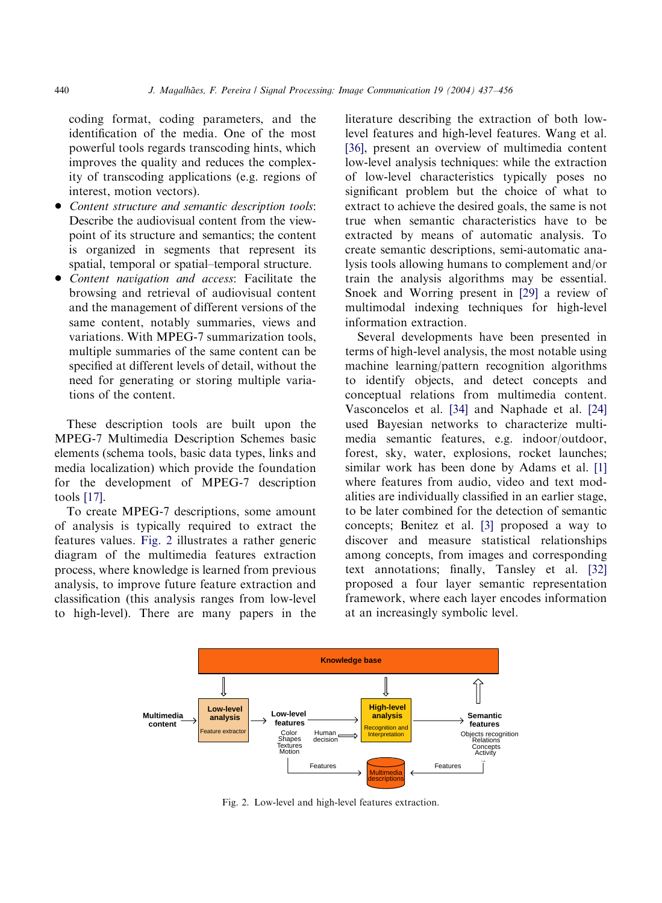coding format, coding parameters, and the identification of the media. One of the most powerful tools regards transcoding hints, which improves the quality and reduces the complexity of transcoding applications (e.g. regions of interest, motion vectors).

- Content structure and semantic description tools: Describe the audiovisual content from the viewpoint of its structure and semantics; the content is organized in segments that represent its spatial, temporal or spatial–temporal structure.
- Content navigation and access: Facilitate the browsing and retrieval of audiovisual content and the management of different versions of the same content, notably summaries, views and variations. With MPEG-7 summarization tools, multiple summaries of the same content can be specified at different levels of detail, without the need for generating or storing multiple variations of the content.

These description tools are built upon the MPEG-7 Multimedia Description Schemes basic elements (schema tools, basic data types, links and media localization) which provide the foundation for the development of MPEG-7 description tools [\[17\]](#page-18-0).

To create MPEG-7 descriptions, some amount ofanalysis is typically required to extract the features values. Fig. 2 illustrates a rather generic diagram of the multimedia features extraction process, where knowledge is learned from previous analysis, to improve future feature extraction and classification (this analysis ranges from low-level to high-level). There are many papers in the

literature describing the extraction of both lowlevel features and high-level features. Wang et al. [\[36\]](#page-19-0), present an overview of multimedia content low-level analysis techniques: while the extraction of low-level characteristics typically poses no significant problem but the choice of what to extract to achieve the desired goals, the same is not true when semantic characteristics have to be extracted by means of automatic analysis. To create semantic descriptions, semi-automatic analysis tools allowing humans to complement and/or train the analysis algorithms may be essential. Snoek and Worring present in [\[29\]](#page-19-0) a review of multimodal indexing techniques for high-level information extraction.

Several developments have been presented in terms of high-level analysis, the most notable using machine learning/pattern recognition algorithms to identify objects, and detect concepts and conceptual relations from multimedia content. Vasconcelos et al. [\[34\]](#page-19-0) and Naphade et al. [\[24\]](#page-19-0) used Bayesian networks to characterize multimedia semantic features, e.g. indoor/outdoor, forest, sky, water, explosions, rocket launches; similar work has been done by Adams et al. [\[1\]](#page-18-0) where features from audio, video and text modalities are individually classified in an earlier stage, to be later combined for the detection of semantic concepts; Benitez et al. [\[3\]](#page-18-0) proposed a way to discover and measure statistical relationships among concepts, from images and corresponding text annotations; finally, Tansley et al. [\[32\]](#page-19-0) proposed a four layer semantic representation framework, where each layer encodes information at an increasingly symbolic level.



Fig. 2. Low-level and high-level features extraction.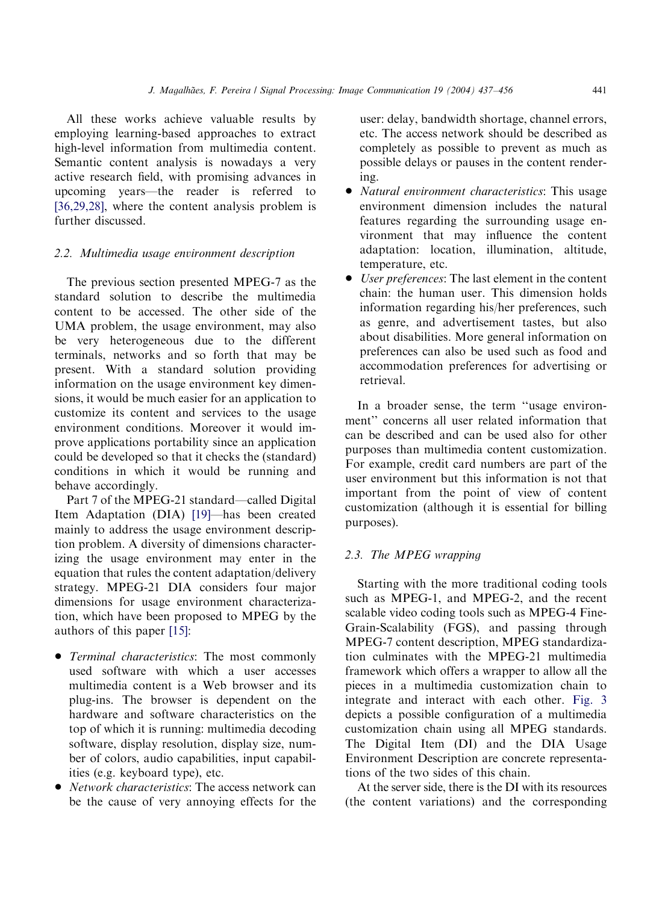All these works achieve valuable results by employing learning-based approaches to extract high-level information from multimedia content. Semantic content analysis is nowadays a very active research field, with promising advances in upcoming years—the reader is referred to [\[36,29,28\],](#page-19-0) where the content analysis problem is further discussed.

# 2.2. Multimedia usage environment description

The previous section presented MPEG-7 as the standard solution to describe the multimedia content to be accessed. The other side of the UMA problem, the usage environment, may also be very heterogeneous due to the different terminals, networks and so forth that may be present. With a standard solution providing information on the usage environment key dimensions, it would be much easier for an application to customize its content and services to the usage environment conditions. Moreover it would improve applications portability since an application could be developed so that it checks the (standard) conditions in which it would be running and behave accordingly.

Part 7 of the MPEG-21 standard—called Digital Item Adaptation (DIA) [\[19\]](#page-18-0)—has been created mainly to address the usage environment description problem. A diversity of dimensions characterizing the usage environment may enter in the equation that rules the content adaptation/delivery strategy. MPEG-21 DIA considers four major dimensions for usage environment characterization, which have been proposed to MPEG by the authors of this paper [\[15\]](#page-18-0):

- Terminal characteristics: The most commonly used software with which a user accesses multimedia content is a Web browser and its plug-ins. The browser is dependent on the hardware and software characteristics on the top of which it is running: multimedia decoding software, display resolution, display size, number of colors, audio capabilities, input capabilities (e.g. keyboard type), etc.
- Network characteristics: The access network can be the cause of very annoying effects for the

user: delay, bandwidth shortage, channel errors, etc. The access network should be described as completely as possible to prevent as much as possible delays or pauses in the content rendering.

- *Natural environment characteristics*: This usage environment dimension includes the natural features regarding the surrounding usage environment that may influence the content adaptation: location, illumination, altitude, temperature, etc.
- User preferences: The last element in the content chain: the human user. This dimension holds information regarding his/her preferences, such as genre, and advertisement tastes, but also about disabilities. More general information on preferences can also be used such as food and accommodation preferences for advertising or retrieval.

In a broader sense, the term ''usage environment'' concerns all user related information that can be described and can be used also for other purposes than multimedia content customization. For example, credit card numbers are part of the user environment but this information is not that important from the point of view of content customization (although it is essential for billing purposes).

# 2.3. The MPEG wrapping

Starting with the more traditional coding tools such as MPEG-1, and MPEG-2, and the recent scalable video coding tools such as MPEG-4 Fine-Grain-Scalability (FGS), and passing through MPEG-7 content description, MPEG standardization culminates with the MPEG-21 multimedia framework which offers a wrapper to allow all the pieces in a multimedia customization chain to integrate and interact with each other. [Fig. 3](#page-5-0) depicts a possible configuration of a multimedia customization chain using all MPEG standards. The Digital Item (DI) and the DIA Usage Environment Description are concrete representations of the two sides of this chain.

At the server side, there is the DI with its resources (the content variations) and the corresponding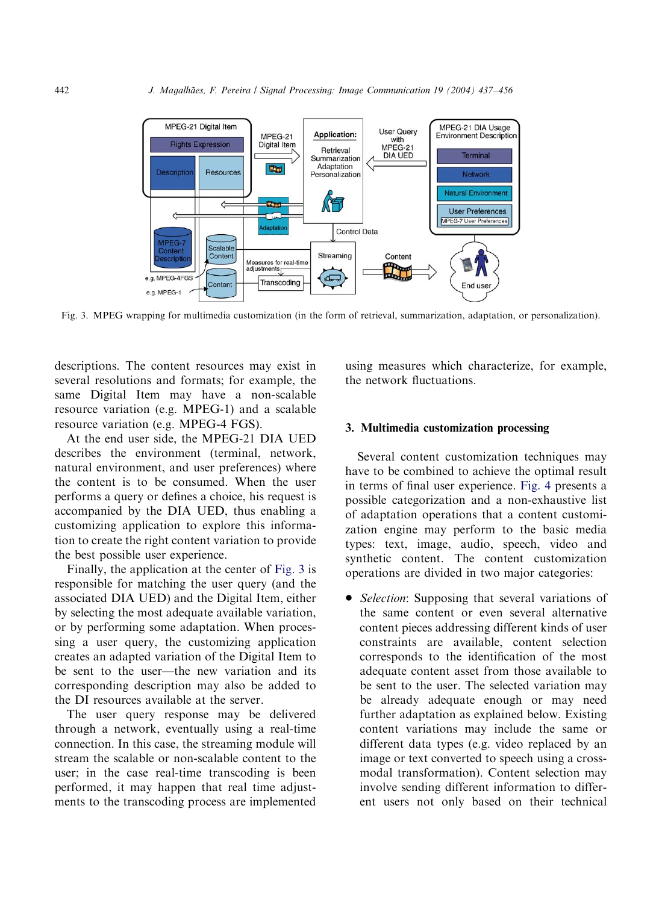<span id="page-5-0"></span>

Fig. 3. MPEG wrapping for multimedia customization (in the form of retrieval, summarization, adaptation, or personalization).

descriptions. The content resources may exist in several resolutions and formats; for example, the same Digital Item may have a non-scalable resource variation (e.g. MPEG-1) and a scalable resource variation (e.g. MPEG-4 FGS).

At the end user side, the MPEG-21 DIA UED describes the environment (terminal, network, natural environment, and user preferences) where the content is to be consumed. When the user performs a query or defines a choice, his request is accompanied by the DIA UED, thus enabling a customizing application to explore this information to create the right content variation to provide the best possible user experience.

Finally, the application at the center of Fig. 3 is responsible for matching the user query (and the associated DIA UED) and the Digital Item, either by selecting the most adequate available variation, or by performing some adaptation. When processing a user query, the customizing application creates an adapted variation of the Digital Item to be sent to the user—the new variation and its corresponding description may also be added to the DI resources available at the server.

The user query response may be delivered through a network, eventually using a real-time connection. In this case, the streaming module will stream the scalable or non-scalable content to the user; in the case real-time transcoding is been performed, it may happen that real time adjustments to the transcoding process are implemented using measures which characterize, for example, the network fluctuations.

# 3. Multimedia customization processing

Several content customization techniques may have to be combined to achieve the optimal result in terms of final user experience. [Fig. 4](#page-6-0) presents a possible categorization and a non-exhaustive list of adaptation operations that a content customization engine may perform to the basic media types: text, image, audio, speech, video and synthetic content. The content customization operations are divided in two major categories:

• Selection: Supposing that several variations of the same content or even several alternative content pieces addressing different kinds of user constraints are available, content selection corresponds to the identification of the most adequate content asset from those available to be sent to the user. The selected variation may be already adequate enough or may need further adaptation as explained below. Existing content variations may include the same or different data types (e.g. video replaced by an image or text converted to speech using a crossmodal transformation). Content selection may involve sending different information to different users not only based on their technical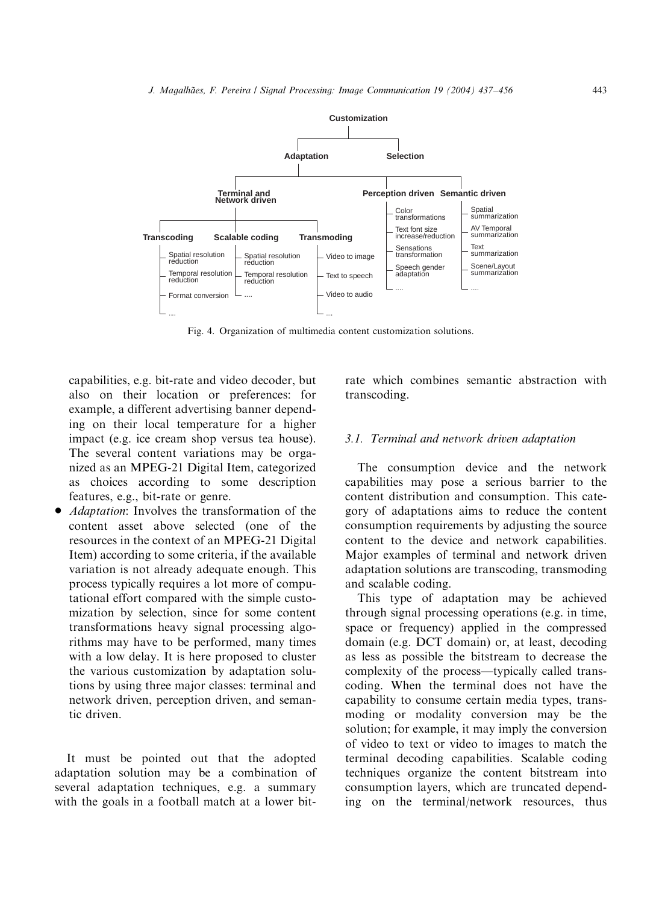<span id="page-6-0"></span>

Fig. 4. Organization of multimedia content customization solutions.

capabilities, e.g. bit-rate and video decoder, but also on their location or preferences: for example, a different advertising banner depending on their local temperature for a higher impact (e.g. ice cream shop versus tea house). The several content variations may be organized as an MPEG-21 Digital Item, categorized as choices according to some description features, e.g., bit-rate or genre.

• *Adaptation*: Involves the transformation of the content asset above selected (one of the resources in the context of an MPEG-21 Digital Item) according to some criteria, if the available variation is not already adequate enough. This process typically requires a lot more of computational effort compared with the simple customization by selection, since for some content transformations heavy signal processing algorithms may have to be performed, many times with a low delay. It is here proposed to cluster the various customization by adaptation solutions by using three major classes: terminal and network driven, perception driven, and semantic driven.

It must be pointed out that the adopted adaptation solution may be a combination of several adaptation techniques, e.g. a summary with the goals in a football match at a lower bitrate which combines semantic abstraction with transcoding.

#### 3.1. Terminal and network driven adaptation

The consumption device and the network capabilities may pose a serious barrier to the content distribution and consumption. This category of adaptations aims to reduce the content consumption requirements by adjusting the source content to the device and network capabilities. Major examples of terminal and network driven adaptation solutions are transcoding, transmoding and scalable coding.

This type of adaptation may be achieved through signal processing operations (e.g. in time, space or frequency) applied in the compressed domain (e.g. DCT domain) or, at least, decoding as less as possible the bitstream to decrease the complexity of the process—typically called transcoding. When the terminal does not have the capability to consume certain media types, transmoding or modality conversion may be the solution; for example, it may imply the conversion of video to text or video to images to match the terminal decoding capabilities. Scalable coding techniques organize the content bitstream into consumption layers, which are truncated depending on the terminal/network resources, thus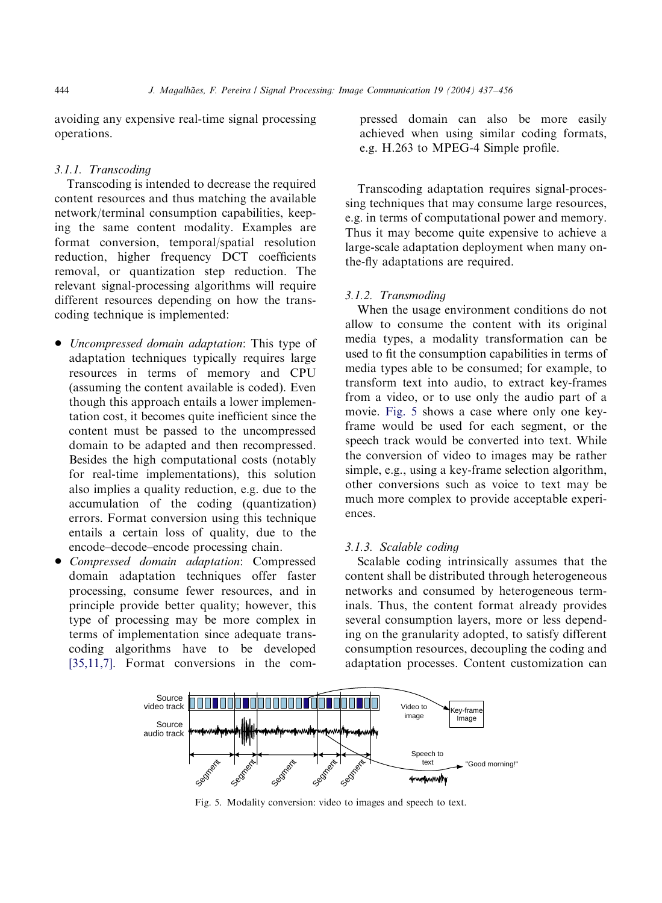avoiding any expensive real-time signal processing operations.

# 3.1.1. Transcoding

Transcoding is intended to decrease the required content resources and thus matching the available network/terminal consumption capabilities, keeping the same content modality. Examples are format conversion, temporal/spatial resolution reduction, higher frequency DCT coefficients removal, or quantization step reduction. The relevant signal-processing algorithms will require different resources depending on how the transcoding technique is implemented:

- Uncompressed domain adaptation: This type of adaptation techniques typically requires large resources in terms of memory and CPU (assuming the content available is coded). Even though this approach entails a lower implementation cost, it becomes quite inefficient since the content must be passed to the uncompressed domain to be adapted and then recompressed. Besides the high computational costs (notably for real-time implementations), this solution also implies a quality reduction, e.g. due to the accumulation of the coding (quantization) errors. Format conversion using this technique entails a certain loss of quality, due to the encode–decode–encode processing chain.
- \* Compressed domain adaptation: Compressed domain adaptation techniques offer faster processing, consume fewer resources, and in principle provide better quality; however, this type of processing may be more complex in terms of implementation since adequate transcoding algorithms have to be developed [\[35,11,7\].](#page-19-0) Format conversions in the com-

pressed domain can also be more easily achieved when using similar coding formats, e.g. H.263 to MPEG-4 Simple profile.

Transcoding adaptation requires signal-processing techniques that may consume large resources, e.g. in terms of computational power and memory. Thus it may become quite expensive to achieve a large-scale adaptation deployment when many onthe-fly adaptations are required.

#### 3.1.2. Transmoding

When the usage environment conditions do not allow to consume the content with its original media types, a modality transformation can be used to fit the consumption capabilities in terms of media types able to be consumed; for example, to transform text into audio, to extract key-frames from a video, or to use only the audio part of a movie. Fig. 5 shows a case where only one keyframe would be used for each segment, or the speech track would be converted into text. While the conversion of video to images may be rather simple, e.g., using a key-frame selection algorithm, other conversions such as voice to text may be much more complex to provide acceptable experiences.

#### 3.1.3. Scalable coding

Scalable coding intrinsically assumes that the content shall be distributed through heterogeneous networks and consumed by heterogeneous terminals. Thus, the content format already provides several consumption layers, more or less depending on the granularity adopted, to satisfy different consumption resources, decoupling the coding and adaptation processes. Content customization can



Fig. 5. Modality conversion: video to images and speech to text.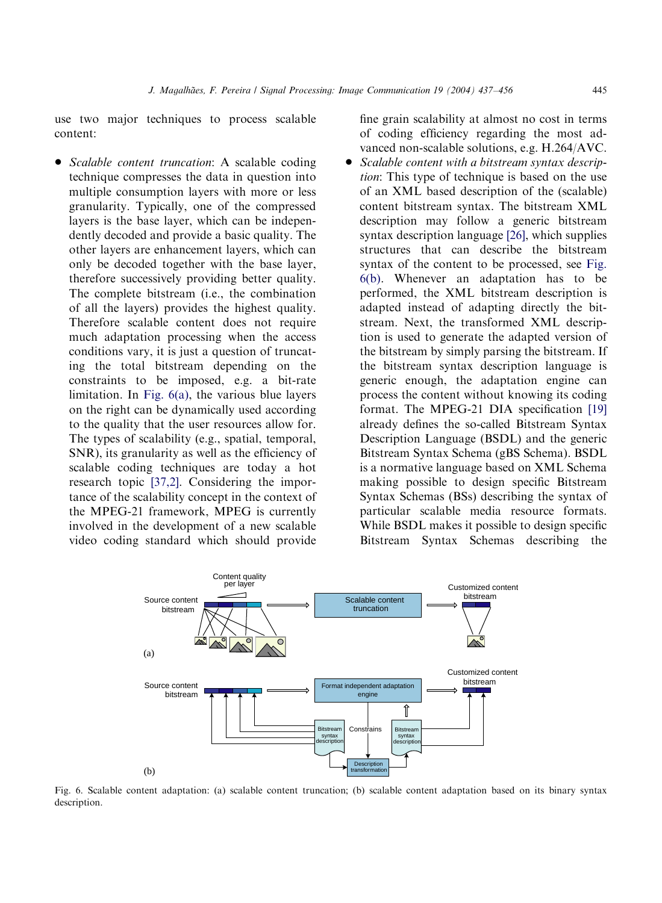use two major techniques to process scalable content:

• Scalable content truncation: A scalable coding technique compresses the data in question into multiple consumption layers with more or less granularity. Typically, one of the compressed layers is the base layer, which can be independently decoded and provide a basic quality. The other layers are enhancement layers, which can only be decoded together with the base layer, therefore successively providing better quality. The complete bitstream (i.e., the combination ofall the layers) provides the highest quality. Therefore scalable content does not require much adaptation processing when the access conditions vary, it is just a question of truncating the total bitstream depending on the constraints to be imposed, e.g. a bit-rate limitation. In Fig. 6(a), the various blue layers on the right can be dynamically used according to the quality that the user resources allow for. The types of scalability (e.g., spatial, temporal, SNR), its granularity as well as the efficiency of scalable coding techniques are today a hot research topic [\[37,2\]](#page-19-0). Considering the importance of the scalability concept in the context of the MPEG-21 framework, MPEG is currently involved in the development of a new scalable video coding standard which should provide fine grain scalability at almost no cost in terms of coding efficiency regarding the most advanced non-scalable solutions, e.g. H.264/AVC.

• Scalable content with a bitstream syntax description: This type of technique is based on the use of an XML based description of the (scalable) content bitstream syntax. The bitstream XML description may follow a generic bitstream syntax description language [\[26\],](#page-19-0) which supplies structures that can describe the bitstream syntax of the content to be processed, see Fig. 6(b). Whenever an adaptation has to be performed, the XML bitstream description is adapted instead of adapting directly the bitstream. Next, the transformed XML description is used to generate the adapted version of the bitstream by simply parsing the bitstream. If the bitstream syntax description language is generic enough, the adaptation engine can process the content without knowing its coding format. The MPEG-21 DIA specification [\[19\]](#page-18-0) already defines the so-called Bitstream Syntax Description Language (BSDL) and the generic Bitstream Syntax Schema (gBS Schema). BSDL is a normative language based on XML Schema making possible to design specific Bitstream Syntax Schemas (BSs) describing the syntax of particular scalable media resource formats. While BSDL makes it possible to design specific Bitstream Syntax Schemas describing the



Fig. 6. Scalable content adaptation: (a) scalable content truncation; (b) scalable content adaptation based on its binary syntax description.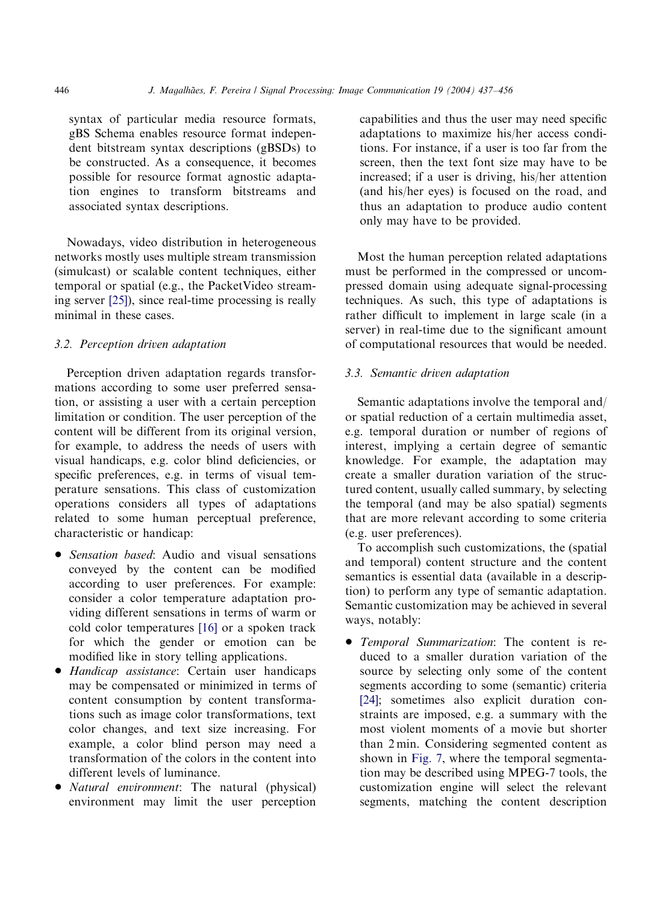syntax of particular media resource formats, gBS Schema enables resource format independent bitstream syntax descriptions (gBSDs) to be constructed. As a consequence, it becomes possible for resource format agnostic adaptation engines to transform bitstreams and associated syntax descriptions.

Nowadays, video distribution in heterogeneous networks mostly uses multiple stream transmission (simulcast) or scalable content techniques, either temporal or spatial (e.g., the PacketVideo streaming server [\[25\]\)](#page-19-0), since real-time processing is really minimal in these cases.

# 3.2. Perception driven adaptation

Perception driven adaptation regards transformations according to some user preferred sensation, or assisting a user with a certain perception limitation or condition. The user perception of the content will be different from its original version, for example, to address the needs of users with visual handicaps, e.g. color blind deficiencies, or specific preferences, e.g. in terms of visual temperature sensations. This class of customization operations considers all types of adaptations related to some human perceptual preference, characteristic or handicap:

- Sensation based: Audio and visual sensations conveyed by the content can be modified according to user preferences. For example: consider a color temperature adaptation providing different sensations in terms of warm or cold color temperatures [\[16\]](#page-18-0) or a spoken track for which the gender or emotion can be modified like in story telling applications.
- Handicap assistance: Certain user handicaps may be compensated or minimized in terms of content consumption by content transformations such as image color transformations, text color changes, and text size increasing. For example, a color blind person may need a transformation of the colors in the content into different levels of luminance.
- *Natural environment*: The natural (physical) environment may limit the user perception

capabilities and thus the user may need specific adaptations to maximize his/her access conditions. For instance, if a user is too far from the screen, then the text font size may have to be increased; if a user is driving, his/her attention (and his/her eyes) is focused on the road, and thus an adaptation to produce audio content only may have to be provided.

Most the human perception related adaptations must be performed in the compressed or uncompressed domain using adequate signal-processing techniques. As such, this type of adaptations is rather difficult to implement in large scale (in a server) in real-time due to the significant amount of computational resources that would be needed.

# 3.3. Semantic driven adaptation

Semantic adaptations involve the temporal and/ or spatial reduction of a certain multimedia asset, e.g. temporal duration or number of regions of interest, implying a certain degree of semantic knowledge. For example, the adaptation may create a smaller duration variation of the structured content, usually called summary, by selecting the temporal (and may be also spatial) segments that are more relevant according to some criteria (e.g. user preferences).

To accomplish such customizations, the (spatial and temporal) content structure and the content semantics is essential data (available in a description) to perform any type of semantic adaptation. Semantic customization may be achieved in several ways, notably:

• Temporal Summarization: The content is reduced to a smaller duration variation of the source by selecting only some of the content segments according to some (semantic) criteria [\[24\]](#page-19-0); sometimes also explicit duration constraints are imposed, e.g. a summary with the most violent moments of a movie but shorter than 2 min. Considering segmented content as shown in [Fig. 7,](#page-10-0) where the temporal segmentation may be described using MPEG-7 tools, the customization engine will select the relevant segments, matching the content description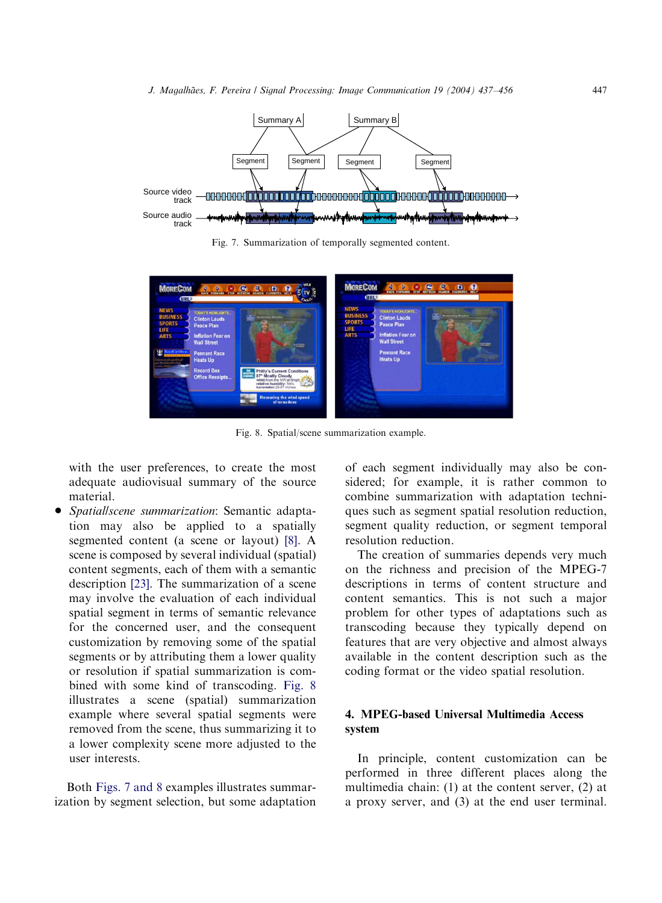<span id="page-10-0"></span>

Fig. 7. Summarization of temporally segmented content.

| <b>NEWS</b><br><b>BUSINESS</b>     | TODAY'S HIGHLIGHTS.<br><b>Clinton Lauds</b>    | <b><i><u>Adlinación</u></i></b> Westfre                                                                                                                            | <b>NEWS</b><br><b>BUSINESS</b> | TODAY'S HIGHLIGHTS.<br><b>Clinton Lauds</b>    | <b>Indirecting Weather</b> |
|------------------------------------|------------------------------------------------|--------------------------------------------------------------------------------------------------------------------------------------------------------------------|--------------------------------|------------------------------------------------|----------------------------|
| <b>SPORTS</b><br>LIFE              | <b>Peace Plan</b>                              |                                                                                                                                                                    | <b>SPORTS</b><br><b>LIFE</b>   | <b>Peace Plan</b>                              |                            |
| <b>ARTS</b>                        | <b>Inflation Fear on</b><br><b>Wall Street</b> | verseer                                                                                                                                                            | <b>ARTS</b>                    | <b>Inflation Fear on</b><br><b>Wall Street</b> | <b>HOME</b>                |
| loyaKaribean<br>existente partenti | <b>Pennant Race</b><br><b>Heats Up</b>         |                                                                                                                                                                    |                                | <b>Pennant Race</b><br><b>Heats Up</b>         |                            |
|                                    | <b>Record Box</b><br><b>Office Receipts</b>    | <b>Philly's Current Conditons</b><br>$\frac{mt}{t}$<br>Stricts 87° Mostly Cloudy<br>wind:from the NV at firmsh<br>relative humidity: 59%<br>barometer:29.87 inches |                                |                                                |                            |

Fig. 8. Spatial/scene summarization example.

with the user preferences, to create the most adequate audiovisual summary of the source material.

• Spatiallscene summarization: Semantic adaptation may also be applied to a spatially segmented content (a scene or layout) [\[8\].](#page-18-0) A scene is composed by several individual (spatial) content segments, each of them with a semantic description  $[23]$ . The summarization of a scene may involve the evaluation of each individual spatial segment in terms of semantic relevance for the concerned user, and the consequent customization by removing some of the spatial segments or by attributing them a lower quality or resolution if spatial summarization is combined with some kind of transcoding. Fig. 8 illustrates a scene (spatial) summarization example where several spatial segments were removed from the scene, thus summarizing it to a lower complexity scene more adjusted to the user interests.

Both Figs. 7 and 8 examples illustrates summarization by segment selection, but some adaptation

of each segment individually may also be considered; for example, it is rather common to combine summarization with adaptation techniques such as segment spatial resolution reduction, segment quality reduction, or segment temporal resolution reduction.

The creation of summaries depends very much on the richness and precision of the MPEG-7 descriptions in terms of content structure and content semantics. This is not such a major problem for other types of adaptations such as transcoding because they typically depend on features that are very objective and almost always available in the content description such as the coding format or the video spatial resolution.

# 4. MPEG-based Universal Multimedia Access system

In principle, content customization can be performed in three different places along the multimedia chain: (1) at the content server, (2) at a proxy server, and (3) at the end user terminal.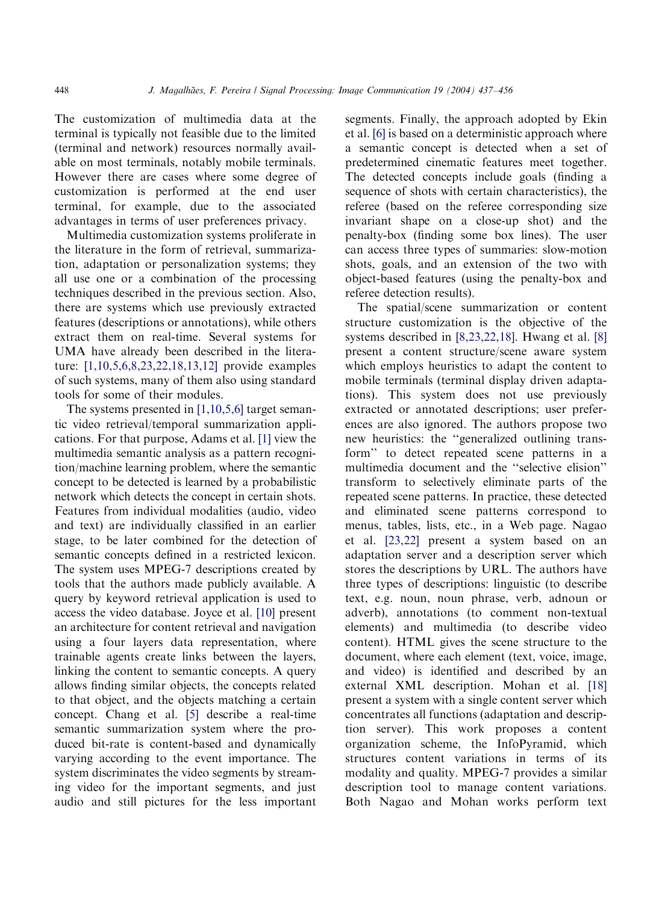The customization of multimedia data at the terminal is typically not feasible due to the limited (terminal and network) resources normally available on most terminals, notably mobile terminals. However there are cases where some degree of customization is performed at the end user terminal, for example, due to the associated advantages in terms of user preferences privacy.

Multimedia customization systems proliferate in the literature in the form of retrieval, summarization, adaptation or personalization systems; they all use one or a combination of the processing techniques described in the previous section. Also, there are systems which use previously extracted features (descriptions or annotations), while others extract them on real-time. Several systems for UMA have already been described in the literature: [\[1,10,5,6,8,23,22,18,13,12\]](#page-18-0) provide examples of such systems, many of them also using standard tools for some of their modules.

The systems presented in [\[1,10,5,6\]](#page-18-0) target semantic video retrieval/temporal summarization applications. For that purpose, Adams et al. [\[1\]](#page-18-0) view the multimedia semantic analysis as a pattern recognition/machine learning problem, where the semantic concept to be detected is learned by a probabilistic network which detects the concept in certain shots. Features from individual modalities (audio, video and text) are individually classified in an earlier stage, to be later combined for the detection of semantic concepts defined in a restricted lexicon. The system uses MPEG-7 descriptions created by tools that the authors made publicly available. A query by keyword retrieval application is used to access the video database. Joyce et al. [\[10\]](#page-18-0) present an architecture for content retrieval and navigation using a four layers data representation, where trainable agents create links between the layers, linking the content to semantic concepts. A query allows finding similar objects, the concepts related to that object, and the objects matching a certain concept. Chang et al. [\[5\]](#page-18-0) describe a real-time semantic summarization system where the produced bit-rate is content-based and dynamically varying according to the event importance. The system discriminates the video segments by streaming video for the important segments, and just audio and still pictures for the less important segments. Finally, the approach adopted by Ekin et al. [\[6\]](#page-18-0) is based on a deterministic approach where a semantic concept is detected when a set of predetermined cinematic features meet together. The detected concepts include goals (finding a sequence of shots with certain characteristics), the referee (based on the referee corresponding size invariant shape on a close-up shot) and the penalty-box (finding some box lines). The user can access three types of summaries: slow-motion shots, goals, and an extension of the two with object-based features (using the penalty-box and referee detection results).

The spatial/scene summarization or content structure customization is the objective of the systems described in [\[8,23,22,18\]](#page-18-0). Hwang et al. [\[8\]](#page-18-0) present a content structure/scene aware system which employs heuristics to adapt the content to mobile terminals (terminal display driven adaptations). This system does not use previously extracted or annotated descriptions; user preferences are also ignored. The authors propose two new heuristics: the ''generalized outlining transform'' to detect repeated scene patterns in a multimedia document and the ''selective elision'' transform to selectively eliminate parts of the repeated scene patterns. In practice, these detected and eliminated scene patterns correspond to menus, tables, lists, etc., in a Web page. Nagao et al. [\[23,22\]](#page-19-0) present a system based on an adaptation server and a description server which stores the descriptions by URL. The authors have three types of descriptions: linguistic (to describe text, e.g. noun, noun phrase, verb, adnoun or adverb), annotations (to comment non-textual elements) and multimedia (to describe video content). HTML gives the scene structure to the document, where each element (text, voice, image, and video) is identified and described by an external XML description. Mohan et al. [\[18\]](#page-18-0) present a system with a single content server which concentrates all functions (adaptation and description server). This work proposes a content organization scheme, the InfoPyramid, which structures content variations in terms of its modality and quality. MPEG-7 provides a similar description tool to manage content variations. Both Nagao and Mohan works perform text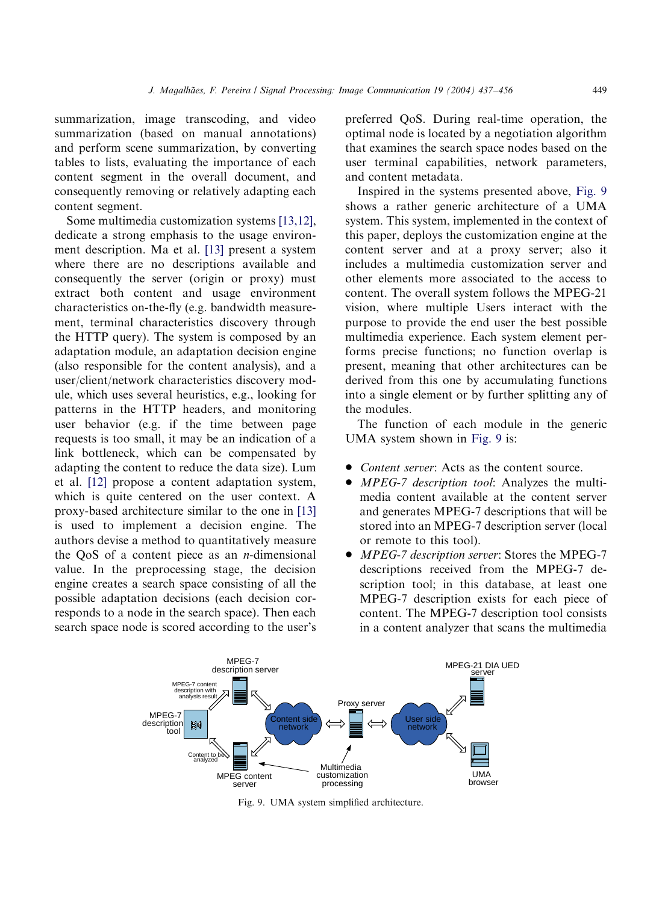summarization, image transcoding, and video summarization (based on manual annotations) and perform scene summarization, by converting tables to lists, evaluating the importance of each content segment in the overall document, and consequently removing or relatively adapting each content segment.

Some multimedia customization systems [\[13,12\]](#page-18-0), dedicate a strong emphasis to the usage environment description. Ma et al. [\[13\]](#page-18-0) present a system where there are no descriptions available and consequently the server (origin or proxy) must extract both content and usage environment characteristics on-the-fly (e.g. bandwidth measurement, terminal characteristics discovery through the HTTP query). The system is composed by an adaptation module, an adaptation decision engine (also responsible for the content analysis), and a user/client/network characteristics discovery module, which uses several heuristics, e.g., looking for patterns in the HTTP headers, and monitoring user behavior (e.g. if the time between page requests is too small, it may be an indication of a link bottleneck, which can be compensated by adapting the content to reduce the data size). Lum et al. [\[12\]](#page-18-0) propose a content adaptation system, which is quite centered on the user context. A proxy-based architecture similar to the one in [\[13\]](#page-18-0) is used to implement a decision engine. The authors devise a method to quantitatively measure the  $\cos$  of a content piece as an *n*-dimensional value. In the preprocessing stage, the decision engine creates a search space consisting of all the possible adaptation decisions (each decision corresponds to a node in the search space). Then each search space node is scored according to the user's preferred QoS. During real-time operation, the optimal node is located by a negotiation algorithm that examines the search space nodes based on the user terminal capabilities, network parameters, and content metadata.

Inspired in the systems presented above, Fig. 9 shows a rather generic architecture of a UMA system. This system, implemented in the context of this paper, deploys the customization engine at the content server and at a proxy server; also it includes a multimedia customization server and other elements more associated to the access to content. The overall system follows the MPEG-21 vision, where multiple Users interact with the purpose to provide the end user the best possible multimedia experience. Each system element performs precise functions; no function overlap is present, meaning that other architectures can be derived from this one by accumulating functions into a single element or by further splitting any of the modules.

The function of each module in the generic UMA system shown in Fig. 9 is:

- *Content server*: Acts as the content source.
- MPEG-7 description tool: Analyzes the multimedia content available at the content server and generates MPEG-7 descriptions that will be stored into an MPEG-7 description server (local or remote to this tool).
- MPEG-7 description server: Stores the MPEG-7 descriptions received from the MPEG-7 description tool; in this database, at least one MPEG-7 description exists for each piece of content. The MPEG-7 description tool consists in a content analyzer that scans the multimedia



Fig. 9. UMA system simplified architecture.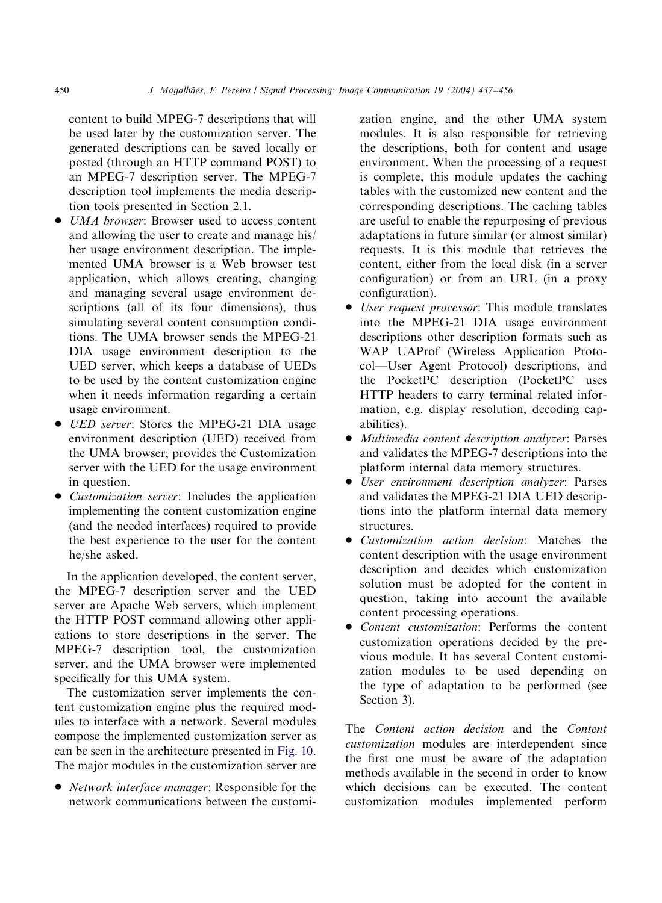content to build MPEG-7 descriptions that will be used later by the customization server. The generated descriptions can be saved locally or posted (through an HTTP command POST) to an MPEG-7 description server. The MPEG-7 description tool implements the media description tools presented in Section 2.1.

- *UMA browser*: Browser used to access content and allowing the user to create and manage his/ her usage environment description. The implemented UMA browser is a Web browser test application, which allows creating, changing and managing several usage environment descriptions (all of its four dimensions), thus simulating several content consumption conditions. The UMA browser sends the MPEG-21 DIA usage environment description to the UED server, which keeps a database of UEDs to be used by the content customization engine when it needs information regarding a certain usage environment.
- *UED server*: Stores the MPEG-21 DIA usage environment description (UED) received from the UMA browser; provides the Customization server with the UED for the usage environment in question.
- *Customization server*: Includes the application implementing the content customization engine (and the needed interfaces) required to provide the best experience to the user for the content he/she asked.

In the application developed, the content server, the MPEG-7 description server and the UED server are Apache Web servers, which implement the HTTP POST command allowing other applications to store descriptions in the server. The MPEG-7 description tool, the customization server, and the UMA browser were implemented specifically for this UMA system.

The customization server implements the content customization engine plus the required modules to interface with a network. Several modules compose the implemented customization server as can be seen in the architecture presented in [Fig. 10](#page-14-0). The major modules in the customization server are

• Network interface manager: Responsible for the network communications between the customization engine, and the other UMA system modules. It is also responsible for retrieving the descriptions, both for content and usage environment. When the processing of a request is complete, this module updates the caching tables with the customized new content and the corresponding descriptions. The caching tables are useful to enable the repurposing of previous adaptations in future similar (or almost similar) requests. It is this module that retrieves the content, either from the local disk (in a server configuration) or from an URL (in a proxy configuration).

- User request processor: This module translates into the MPEG-21 DIA usage environment descriptions other description formats such as WAP UAProf (Wireless Application Protocol—User Agent Protocol) descriptions, and the PocketPC description (PocketPC uses HTTP headers to carry terminal related information, e.g. display resolution, decoding capabilities).
- Multimedia content description analyzer: Parses and validates the MPEG-7 descriptions into the platform internal data memory structures.
- User environment description analyzer: Parses and validates the MPEG-21 DIA UED descriptions into the platform internal data memory structures.
- *Customization action decision*: Matches the content description with the usage environment description and decides which customization solution must be adopted for the content in question, taking into account the available content processing operations.
- Content customization: Performs the content customization operations decided by the previous module. It has several Content customization modules to be used depending on the type of adaptation to be performed (see Section 3).

The Content action decision and the Content customization modules are interdependent since the first one must be aware of the adaptation methods available in the second in order to know which decisions can be executed. The content customization modules implemented perform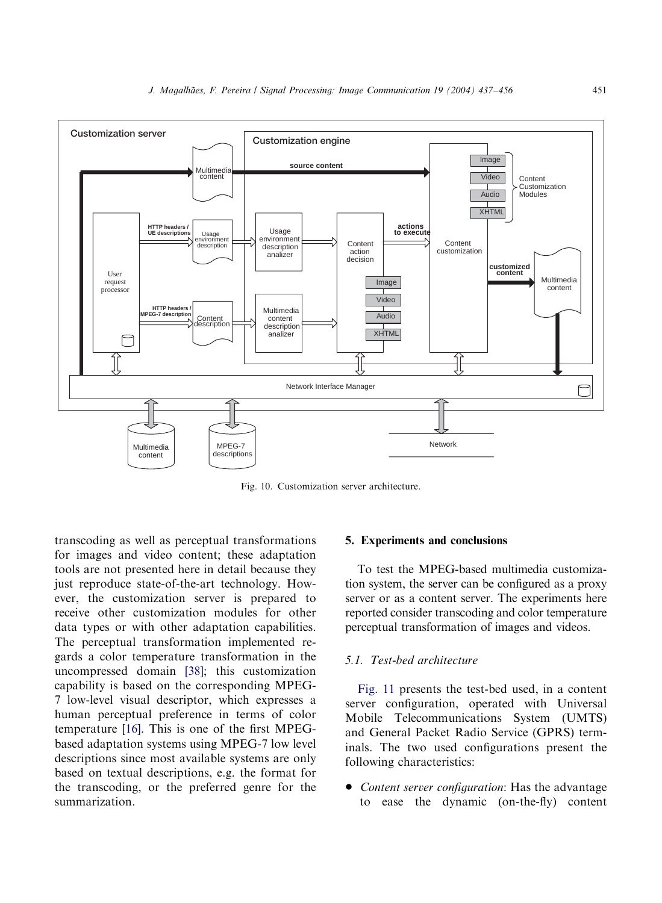<span id="page-14-0"></span>

Fig. 10. Customization server architecture.

transcoding as well as perceptual transformations for images and video content; these adaptation tools are not presented here in detail because they just reproduce state-of-the-art technology. However, the customization server is prepared to receive other customization modules for other data types or with other adaptation capabilities. The perceptual transformation implemented regards a color temperature transformation in the uncompressed domain [\[38\];](#page-19-0) this customization capability is based on the corresponding MPEG-7 low-level visual descriptor, which expresses a human perceptual preference in terms of color temperature  $[16]$ . This is one of the first MPEGbased adaptation systems using MPEG-7 low level descriptions since most available systems are only based on textual descriptions, e.g. the format for the transcoding, or the preferred genre for the summarization.

# 5. Experiments and conclusions

To test the MPEG-based multimedia customization system, the server can be configured as a proxy server or as a content server. The experiments here reported consider transcoding and color temperature perceptual transformation of images and videos.

# 5.1. Test-bed architecture

[Fig. 11](#page-15-0) presents the test-bed used, in a content server configuration, operated with Universal Mobile Telecommunications System (UMTS) and General Packet Radio Service (GPRS) terminals. The two used configurations present the following characteristics:

• Content server configuration: Has the advantage to ease the dynamic (on-the-fly) content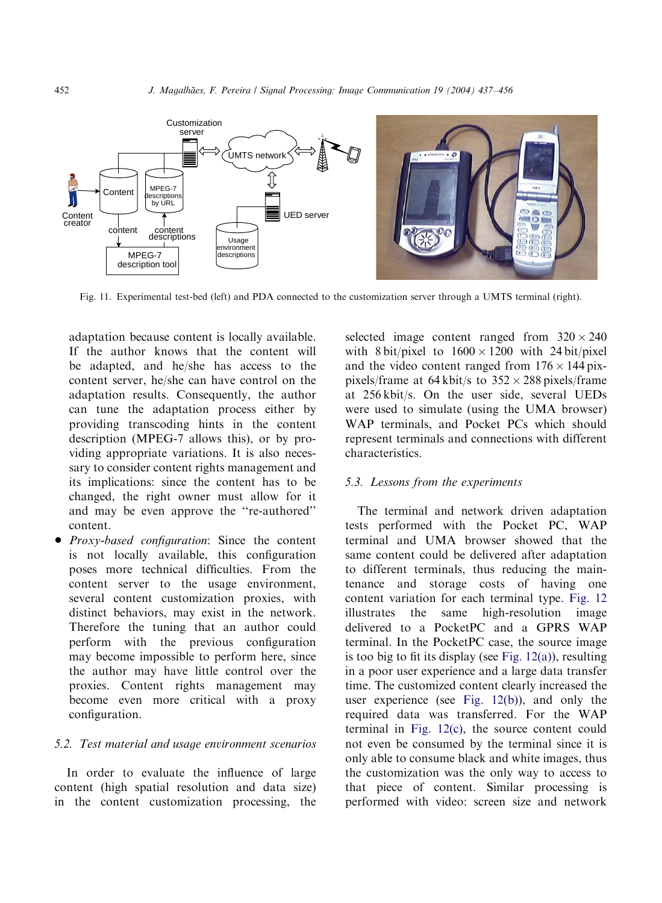<span id="page-15-0"></span>

Fig. 11. Experimental test-bed (left) and PDA connected to the customization server through a UMTS terminal (right).

adaptation because content is locally available. If the author knows that the content will be adapted, and he/she has access to the content server, he/she can have control on the adaptation results. Consequently, the author can tune the adaptation process either by providing transcoding hints in the content description (MPEG-7 allows this), or by providing appropriate variations. It is also necessary to consider content rights management and its implications: since the content has to be changed, the right owner must allow for it and may be even approve the ''re-authored'' content.

• Proxy-based configuration: Since the content is not locally available, this configuration poses more technical difficulties. From the content server to the usage environment, several content customization proxies, with distinct behaviors, may exist in the network. Therefore the tuning that an author could perform with the previous configuration may become impossible to perform here, since the author may have little control over the proxies. Content rights management may become even more critical with a proxy configuration.

# 5.2. Test material and usage environment scenarios

In order to evaluate the influence of large content (high spatial resolution and data size) in the content customization processing, the selected image content ranged from  $320 \times 240$ with 8 bit/pixel to  $1600 \times 1200$  with 24 bit/pixel and the video content ranged from  $176 \times 144$  pixpixels/frame at 64 kbit/s to  $352 \times 288$  pixels/frame at 256 kbit/s. On the user side, several UEDs were used to simulate (using the UMA browser) WAP terminals, and Pocket PCs which should represent terminals and connections with different characteristics.

#### 5.3. Lessons from the experiments

The terminal and network driven adaptation tests performed with the Pocket PC, WAP terminal and UMA browser showed that the same content could be delivered after adaptation to different terminals, thus reducing the maintenance and storage costs of having one content variation for each terminal type. [Fig. 12](#page-16-0) illustrates the same high-resolution image delivered to a PocketPC and a GPRS WAP terminal. In the PocketPC case, the source image is too big to fit its display (see Fig.  $12(a)$ ), resulting in a poor user experience and a large data transfer time. The customized content clearly increased the user experience (see [Fig. 12\(b\)](#page-16-0)), and only the required data was transferred. For the WAP terminal in [Fig. 12\(c\),](#page-16-0) the source content could not even be consumed by the terminal since it is only able to consume black and white images, thus the customization was the only way to access to that piece of content. Similar processing is performed with video: screen size and network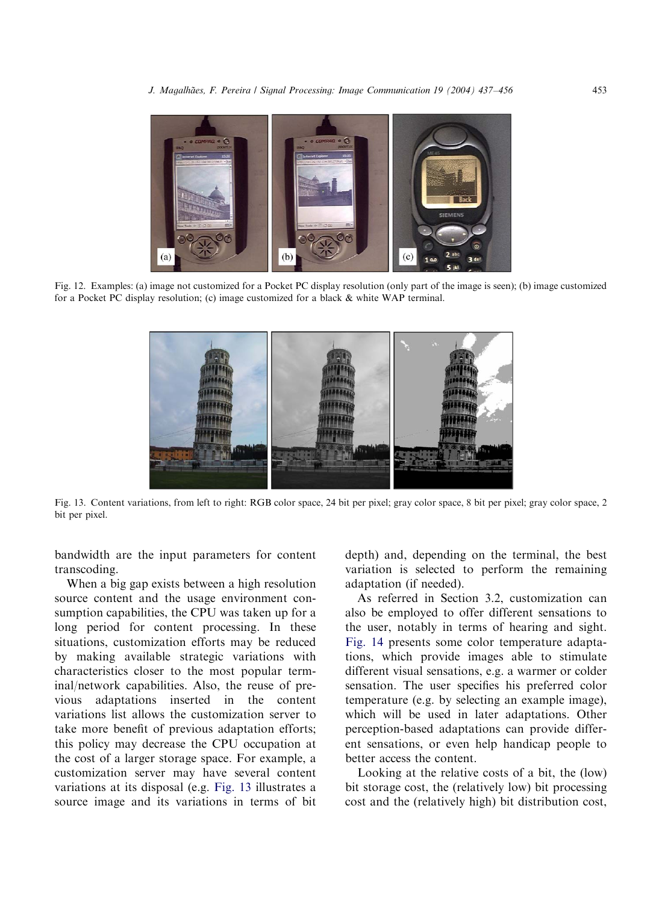<span id="page-16-0"></span>

Fig. 12. Examples: (a) image not customized for a Pocket PC display resolution (only part of the image is seen); (b) image customized for a Pocket PC display resolution; (c) image customized for a black  $&$  white WAP terminal.



Fig. 13. Content variations, from left to right: RGB color space, 24 bit per pixel; gray color space, 8 bit per pixel; gray color space, 2 bit per pixel.

bandwidth are the input parameters for content transcoding.

When a big gap exists between a high resolution source content and the usage environment consumption capabilities, the CPU was taken up for a long period for content processing. In these situations, customization efforts may be reduced by making available strategic variations with characteristics closer to the most popular terminal/network capabilities. Also, the reuse of previous adaptations inserted in the content variations list allows the customization server to take more benefit of previous adaptation efforts; this policy may decrease the CPU occupation at the cost of a larger storage space. For example, a customization server may have several content variations at its disposal (e.g. Fig. 13 illustrates a source image and its variations in terms of bit

depth) and, depending on the terminal, the best variation is selected to perform the remaining adaptation (if needed).

As referred in Section 3.2, customization can also be employed to offer different sensations to the user, notably in terms of hearing and sight. [Fig. 14](#page-17-0) presents some color temperature adaptations, which provide images able to stimulate different visual sensations, e.g. a warmer or colder sensation. The user specifies his preferred color temperature (e.g. by selecting an example image), which will be used in later adaptations. Other perception-based adaptations can provide different sensations, or even help handicap people to better access the content.

Looking at the relative costs of a bit, the  $(low)$ bit storage cost, the (relatively low) bit processing cost and the (relatively high) bit distribution cost,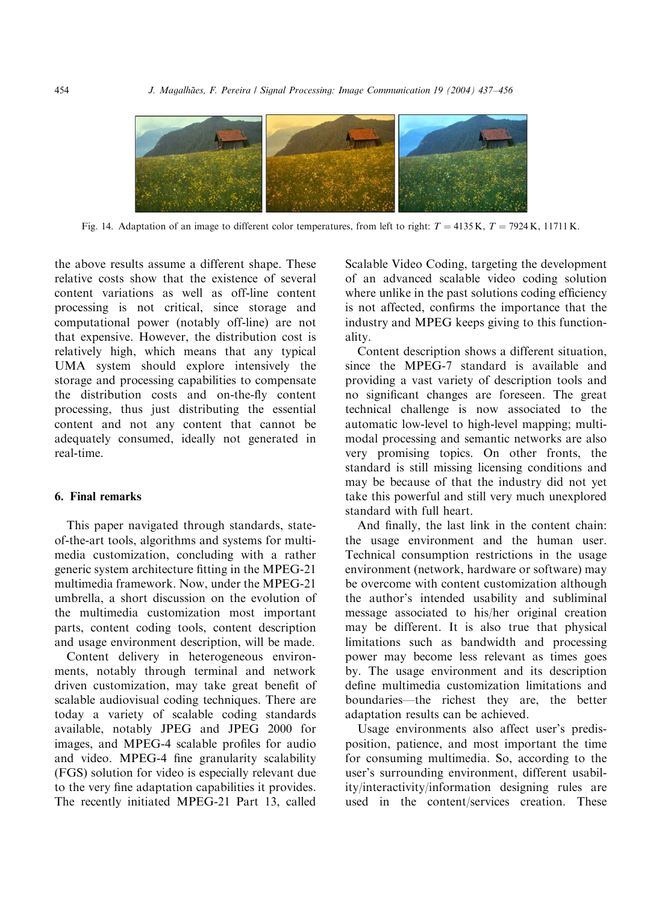<span id="page-17-0"></span>

Fig. 14. Adaptation of an image to different color temperatures, from left to right:  $T = 4135$  K,  $T = 7924$  K, 11711 K.

the above results assume a different shape. These relative costs show that the existence of several content variations as well as off-line content processing is not critical, since storage and computational power (notably off-line) are not that expensive. However, the distribution cost is relatively high, which means that any typical UMA system should explore intensively the storage and processing capabilities to compensate the distribution costs and on-the-fly content processing, thus just distributing the essential content and not any content that cannot be adequately consumed, ideally not generated in real-time.

#### 6. Final remarks

This paper navigated through standards, stateof-the-art tools, algorithms and systems for multimedia customization, concluding with a rather generic system architecture fitting in the MPEG-21 multimedia framework. Now, under the MPEG-21 umbrella, a short discussion on the evolution of the multimedia customization most important parts, content coding tools, content description and usage environment description, will be made.

Content delivery in heterogeneous environments, notably through terminal and network driven customization, may take great benefit of scalable audiovisual coding techniques. There are today a variety of scalable coding standards available, notably JPEG and JPEG 2000 for images, and MPEG-4 scalable profiles for audio and video. MPEG-4 fine granularity scalability (FGS) solution for video is especially relevant due to the very fine adaptation capabilities it provides. The recently initiated MPEG-21 Part 13, called

Scalable Video Coding, targeting the development of an advanced scalable video coding solution where unlike in the past solutions coding efficiency is not affected, confirms the importance that the industry and MPEG keeps giving to this functionality.

Content description shows a different situation, since the MPEG-7 standard is available and providing a vast variety of description tools and no significant changes are foreseen. The great technical challenge is now associated to the automatic low-level to high-level mapping; multimodal processing and semantic networks are also very promising topics. On other fronts, the standard is still missing licensing conditions and may be because of that the industry did not yet take this powerful and still very much unexplored standard with full heart.

And finally, the last link in the content chain: the usage environment and the human user. Technical consumption restrictions in the usage environment (network, hardware or software) may be overcome with content customization although the author's intended usability and subliminal message associated to his/her original creation may be different. It is also true that physical limitations such as bandwidth and processing power may become less relevant as times goes by. The usage environment and its description define multimedia customization limitations and boundaries—the richest they are, the better adaptation results can be achieved.

Usage environments also affect user's predisposition, patience, and most important the time for consuming multimedia. So, according to the user's surrounding environment, different usability/interactivity/information designing rules are used in the content/services creation. These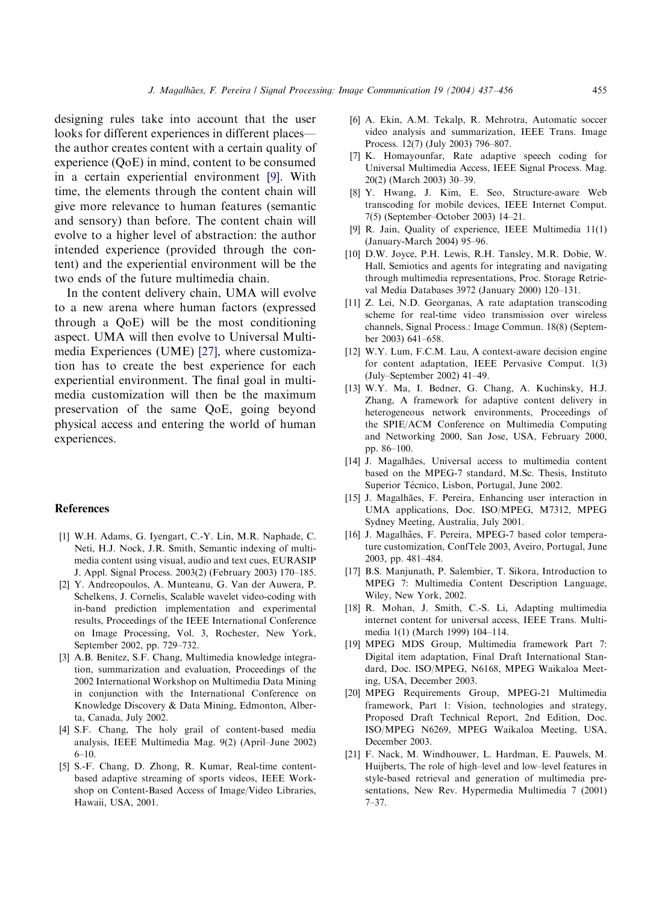<span id="page-18-0"></span>designing rules take into account that the user looks for different experiences in different places the author creates content with a certain quality of experience (QoE) in mind, content to be consumed in a certain experiential environment [9]. With time, the elements through the content chain will give more relevance to human features (semantic and sensory) than before. The content chain will evolve to a higher level of abstraction: the author intended experience (provided through the content) and the experiential environment will be the two ends of the future multimedia chain.

In the content delivery chain, UMA will evolve to a new arena where human factors (expressed through a QoE) will be the most conditioning aspect. UMA will then evolve to Universal Multimedia Experiences (UME) [\[27\],](#page-19-0) where customization has to create the best experience for each experiential environment. The final goal in multimedia customization will then be the maximum preservation of the same QoE, going beyond physical access and entering the world of human experiences.

# References

- [1] W.H. Adams, G. Iyengart, C.-Y. Lin, M.R. Naphade, C. Neti, H.J. Nock, J.R. Smith, Semantic indexing of multimedia content using visual, audio and text cues, EURASIP J. Appl. Signal Process. 2003(2) (February 2003) 170–185.
- [2] Y. Andreopoulos, A. Munteanu, G. Van der Auwera, P. Schelkens, J. Cornelis, Scalable wavelet video-coding with in-band prediction implementation and experimental results, Proceedings of the IEEE International Conference on Image Processing, Vol. 3, Rochester, New York, September 2002, pp. 729–732.
- [3] A.B. Benitez, S.F. Chang, Multimedia knowledge integration, summarization and evaluation, Proceedings of the 2002 International Workshop on Multimedia Data Mining in conjunction with the International Conference on Knowledge Discovery & Data Mining, Edmonton, Alberta, Canada, July 2002.
- [4] S.F. Chang, The holy grail of content-based media analysis, IEEE Multimedia Mag. 9(2) (April–June 2002) 6–10.
- [5] S.-F. Chang, D. Zhong, R. Kumar, Real-time contentbased adaptive streaming of sports videos, IEEE Workshop on Content-Based Access of Image/Video Libraries, Hawaii, USA, 2001.
- [6] A. Ekin, A.M. Tekalp, R. Mehrotra, Automatic soccer video analysis and summarization, IEEE Trans. Image Process. 12(7) (July 2003) 796–807.
- [7] K. Homayounfar, Rate adaptive speech coding for Universal Multimedia Access, IEEE Signal Process. Mag. 20(2) (March 2003) 30–39.
- [8] Y. Hwang, J. Kim, E. Seo, Structure-aware Web transcoding for mobile devices, IEEE Internet Comput. 7(5) (September–October 2003) 14–21.
- [9] R. Jain, Quality of experience, IEEE Multimedia 11(1) (January-March 2004) 95–96.
- [10] D.W. Joyce, P.H. Lewis, R.H. Tansley, M.R. Dobie, W. Hall, Semiotics and agents for integrating and navigating through multimedia representations, Proc. Storage Retrieval Media Databases 3972 (January 2000) 120–131.
- [11] Z. Lei, N.D. Georganas, A rate adaptation transcoding scheme for real-time video transmission over wireless channels, Signal Process.: Image Commun. 18(8) (September 2003) 641–658.
- [12] W.Y. Lum, F.C.M. Lau, A context-aware decision engine for content adaptation, IEEE Pervasive Comput. 1(3) (July–September 2002) 41–49.
- [13] W.Y. Ma, I. Bedner, G. Chang, A. Kuchinsky, H.J. Zhang, A framework for adaptive content delivery in heterogeneous network environments, Proceedings of the SPIE/ACM Conference on Multimedia Computing and Networking 2000, San Jose, USA, February 2000, pp. 86–100.
- [14] J. Magalhães, Universal access to multimedia content based on the MPEG-7 standard, M.Sc. Thesis, Instituto Superior Técnico, Lisbon, Portugal, June 2002.
- [15] J. Magalhães, F. Pereira, Enhancing user interaction in UMA applications, Doc. ISO/MPEG, M7312, MPEG Sydney Meeting, Australia, July 2001.
- [16] J. Magalhães, F. Pereira, MPEG-7 based color temperature customization, ConfTele 2003, Aveiro, Portugal, June 2003, pp. 481–484.
- [17] B.S. Manjunath, P. Salembier, T. Sikora, Introduction to MPEG 7: Multimedia Content Description Language, Wiley, New York, 2002.
- [18] R. Mohan, J. Smith, C.-S. Li, Adapting multimedia internet content for universal access, IEEE Trans. Multimedia 1(1) (March 1999) 104–114.
- [19] MPEG MDS Group, Multimedia framework Part 7: Digital item adaptation, Final Draft International Standard, Doc. ISO/MPEG, N6168, MPEG Waikaloa Meeting, USA, December 2003.
- [20] MPEG Requirements Group, MPEG-21 Multimedia framework, Part 1: Vision, technologies and strategy, Proposed Draft Technical Report, 2nd Edition, Doc. ISO/MPEG N6269, MPEG Waikaloa Meeting, USA, December 2003.
- [21] F. Nack, M. Windhouwer, L. Hardman, E. Pauwels, M. Huijberts, The role of high–level and low–level features in style-based retrieval and generation of multimedia presentations, New Rev. Hypermedia Multimedia 7 (2001) 7–37.